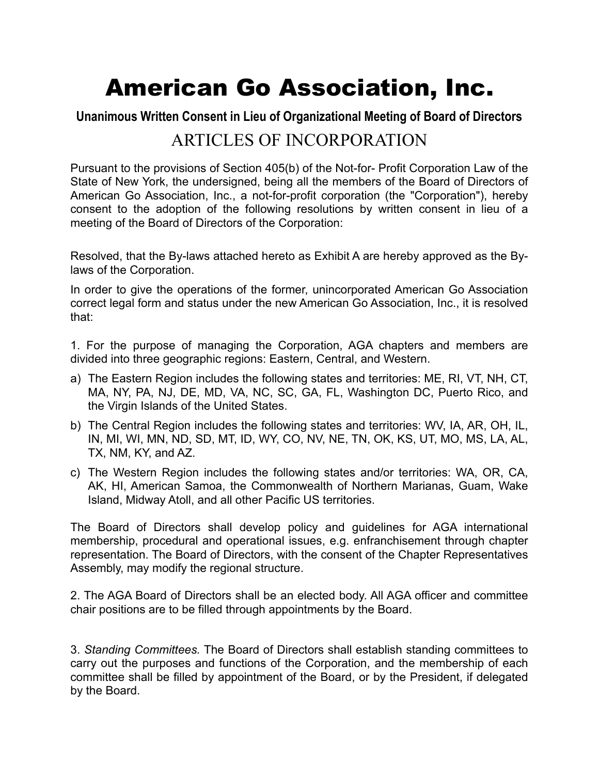# American Go Association, Inc.

# **Unanimous Written Consent in Lieu of Organizational Meeting of Board of Directors**

# ARTICLES OF INCORPORATION

Pursuant to the provisions of Section 405(b) of the Not-for- Profit Corporation Law of the State of New York, the undersigned, being all the members of the Board of Directors of American Go Association, Inc., a not-for-profit corporation (the "Corporation"), hereby consent to the adoption of the following resolutions by written consent in lieu of a meeting of the Board of Directors of the Corporation:

Resolved, that the By-laws attached hereto as Exhibit A are hereby approved as the Bylaws of the Corporation.

In order to give the operations of the former, unincorporated American Go Association correct legal form and status under the new American Go Association, Inc., it is resolved that:

1. For the purpose of managing the Corporation, AGA chapters and members are divided into three geographic regions: Eastern, Central, and Western.

- a) The Eastern Region includes the following states and territories: ME, RI, VT, NH, CT, MA, NY, PA, NJ, DE, MD, VA, NC, SC, GA, FL, Washington DC, Puerto Rico, and the Virgin Islands of the United States.
- b) The Central Region includes the following states and territories: WV, IA, AR, OH, IL, IN, MI, WI, MN, ND, SD, MT, ID, WY, CO, NV, NE, TN, OK, KS, UT, MO, MS, LA, AL, TX, NM, KY, and AZ.
- c) The Western Region includes the following states and/or territories: WA, OR, CA, AK, HI, American Samoa, the Commonwealth of Northern Marianas, Guam, Wake Island, Midway Atoll, and all other Pacific US territories.

The Board of Directors shall develop policy and guidelines for AGA international membership, procedural and operational issues, e.g. enfranchisement through chapter representation. The Board of Directors, with the consent of the Chapter Representatives Assembly, may modify the regional structure.

2. The AGA Board of Directors shall be an elected body. All AGA officer and committee chair positions are to be filled through appointments by the Board.

3. *Standing Committees.* The Board of Directors shall establish standing committees to carry out the purposes and functions of the Corporation, and the membership of each committee shall be filled by appointment of the Board, or by the President, if delegated by the Board.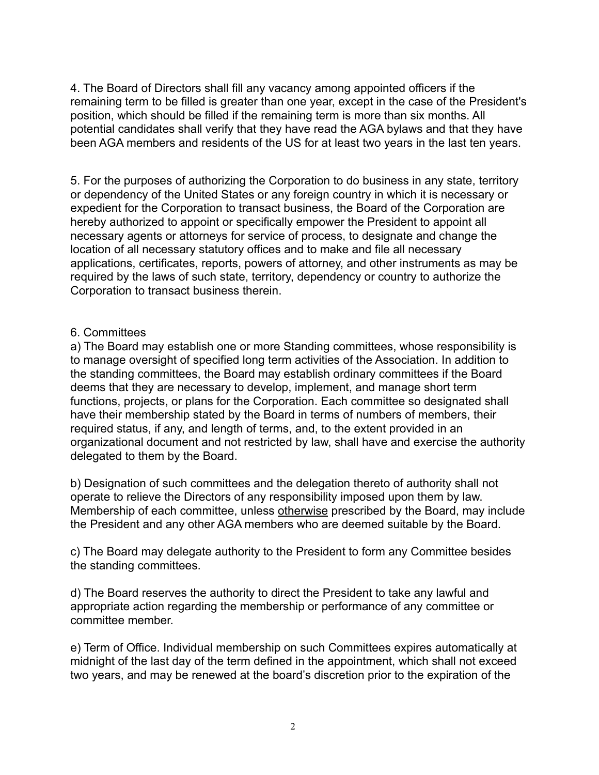4. The Board of Directors shall fill any vacancy among appointed officers if the remaining term to be filled is greater than one year, except in the case of the President's position, which should be filled if the remaining term is more than six months. All potential candidates shall verify that they have read the AGA bylaws and that they have been AGA members and residents of the US for at least two years in the last ten years.

5. For the purposes of authorizing the Corporation to do business in any state, territory or dependency of the United States or any foreign country in which it is necessary or expedient for the Corporation to transact business, the Board of the Corporation are hereby authorized to appoint or specifically empower the President to appoint all necessary agents or attorneys for service of process, to designate and change the location of all necessary statutory offices and to make and file all necessary applications, certificates, reports, powers of attorney, and other instruments as may be required by the laws of such state, territory, dependency or country to authorize the Corporation to transact business therein.

#### 6. Committees

a) The Board may establish one or more Standing committees, whose responsibility is to manage oversight of specified long term activities of the Association. In addition to the standing committees, the Board may establish ordinary committees if the Board deems that they are necessary to develop, implement, and manage short term functions, projects, or plans for the Corporation. Each committee so designated shall have their membership stated by the Board in terms of numbers of members, their required status, if any, and length of terms, and, to the extent provided in an organizational document and not restricted by law, shall have and exercise the authority delegated to them by the Board.

b) Designation of such committees and the delegation thereto of authority shall not operate to relieve the Directors of any responsibility imposed upon them by law. Membership of each committee, unless otherwise prescribed by the Board, may include the President and any other AGA members who are deemed suitable by the Board.

c) The Board may delegate authority to the President to form any Committee besides the standing committees.

d) The Board reserves the authority to direct the President to take any lawful and appropriate action regarding the membership or performance of any committee or committee member.

e) Term of Office. Individual membership on such Committees expires automatically at midnight of the last day of the term defined in the appointment, which shall not exceed two years, and may be renewed at the board's discretion prior to the expiration of the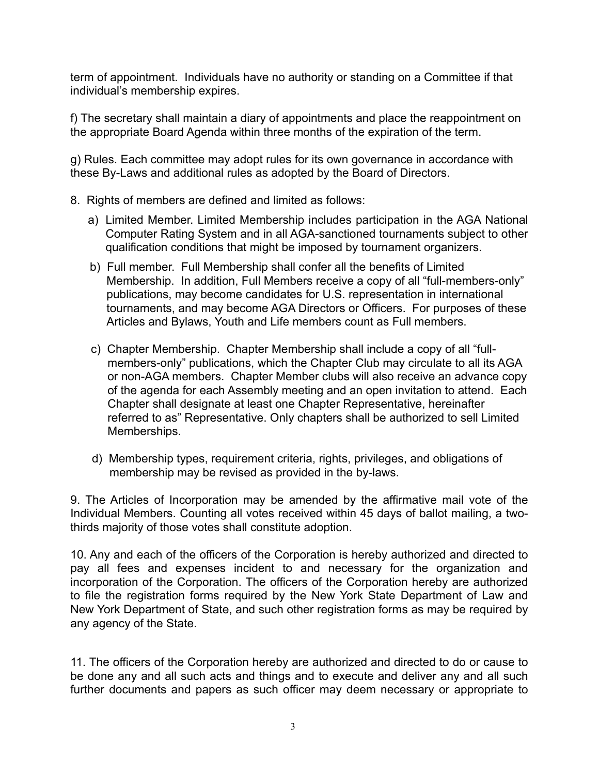term of appointment. Individuals have no authority or standing on a Committee if that individual's membership expires.

f) The secretary shall maintain a diary of appointments and place the reappointment on the appropriate Board Agenda within three months of the expiration of the term.

g) Rules. Each committee may adopt rules for its own governance in accordance with these By-Laws and additional rules as adopted by the Board of Directors.

- 8. Rights of members are defined and limited as follows:
	- a) Limited Member. Limited Membership includes participation in the AGA National Computer Rating System and in all AGA-sanctioned tournaments subject to other qualification conditions that might be imposed by tournament organizers.
	- b) Full member. Full Membership shall confer all the benefits of Limited Membership. In addition, Full Members receive a copy of all "full-members-only" publications, may become candidates for U.S. representation in international tournaments, and may become AGA Directors or Officers. For purposes of these Articles and Bylaws, Youth and Life members count as Full members.
	- c) Chapter Membership. Chapter Membership shall include a copy of all "fullmembers-only" publications, which the Chapter Club may circulate to all its AGA or non-AGA members. Chapter Member clubs will also receive an advance copy of the agenda for each Assembly meeting and an open invitation to attend. Each Chapter shall designate at least one Chapter Representative, hereinafter referred to as" Representative. Only chapters shall be authorized to sell Limited Memberships.
	- d) Membership types, requirement criteria, rights, privileges, and obligations of membership may be revised as provided in the by-laws.

9. The Articles of Incorporation may be amended by the affirmative mail vote of the Individual Members. Counting all votes received within 45 days of ballot mailing, a twothirds majority of those votes shall constitute adoption.

10. Any and each of the officers of the Corporation is hereby authorized and directed to pay all fees and expenses incident to and necessary for the organization and incorporation of the Corporation. The officers of the Corporation hereby are authorized to file the registration forms required by the New York State Department of Law and New York Department of State, and such other registration forms as may be required by any agency of the State.

11. The officers of the Corporation hereby are authorized and directed to do or cause to be done any and all such acts and things and to execute and deliver any and all such further documents and papers as such officer may deem necessary or appropriate to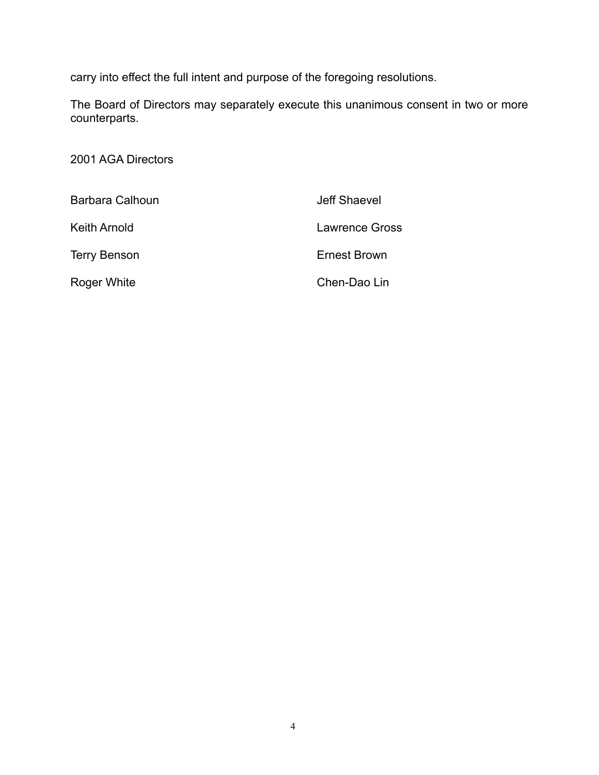carry into effect the full intent and purpose of the foregoing resolutions.

The Board of Directors may separately execute this unanimous consent in two or more counterparts.

2001 AGA Directors

| Barbara Calhoun     | Jeff Shaevel   |
|---------------------|----------------|
| Keith Arnold        | Lawrence Gross |
| <b>Terry Benson</b> | Ernest Brown   |
| Roger White         | Chen-Dao Lin   |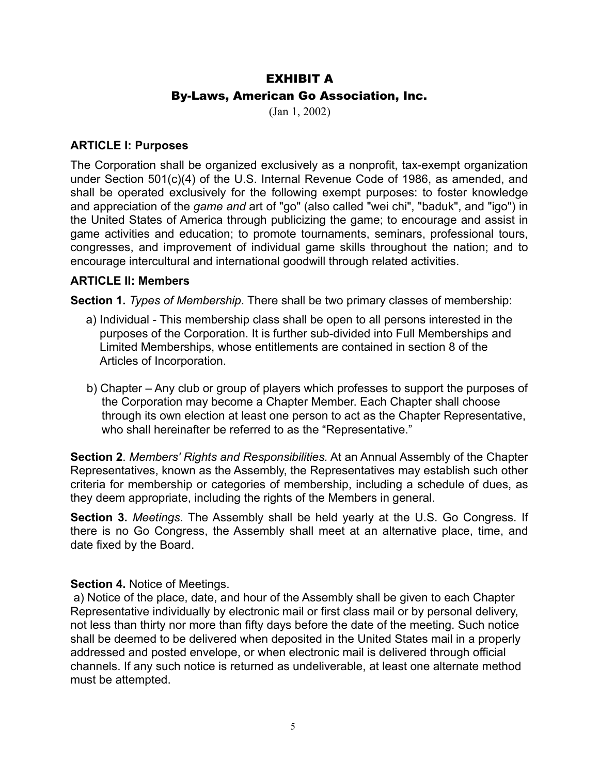# EXHIBIT A By-Laws, American Go Association, Inc.

(Jan 1, 2002)

#### **ARTICLE I: Purposes**

The Corporation shall be organized exclusively as a nonprofit, tax-exempt organization under Section 501(c)(4) of the U.S. Internal Revenue Code of 1986, as amended, and shall be operated exclusively for the following exempt purposes: to foster knowledge and appreciation of the *game and* art of "go" (also called "wei chi", "baduk", and "igo") in the United States of America through publicizing the game; to encourage and assist in game activities and education; to promote tournaments, seminars, professional tours, congresses, and improvement of individual game skills throughout the nation; and to encourage intercultural and international goodwill through related activities.

#### **ARTICLE II: Members**

**Section 1.** *Types of Membership*. There shall be two primary classes of membership:

- a) Individual This membership class shall be open to all persons interested in the purposes of the Corporation. It is further sub-divided into Full Memberships and Limited Memberships, whose entitlements are contained in section 8 of the Articles of Incorporation.
- b) Chapter Any club or group of players which professes to support the purposes of the Corporation may become a Chapter Member. Each Chapter shall choose through its own election at least one person to act as the Chapter Representative, who shall hereinafter be referred to as the "Representative."

**Section 2**. *Members' Rights and Responsibilities.* At an Annual Assembly of the Chapter Representatives, known as the Assembly, the Representatives may establish such other criteria for membership or categories of membership, including a schedule of dues, as they deem appropriate, including the rights of the Members in general.

**Section 3.** *Meetings.* The Assembly shall be held yearly at the U.S. Go Congress. If there is no Go Congress, the Assembly shall meet at an alternative place, time, and date fixed by the Board.

#### **Section 4.** Notice of Meetings.

 a) Notice of the place, date, and hour of the Assembly shall be given to each Chapter Representative individually by electronic mail or first class mail or by personal delivery, not less than thirty nor more than fifty days before the date of the meeting. Such notice shall be deemed to be delivered when deposited in the United States mail in a properly addressed and posted envelope, or when electronic mail is delivered through official channels. If any such notice is returned as undeliverable, at least one alternate method must be attempted.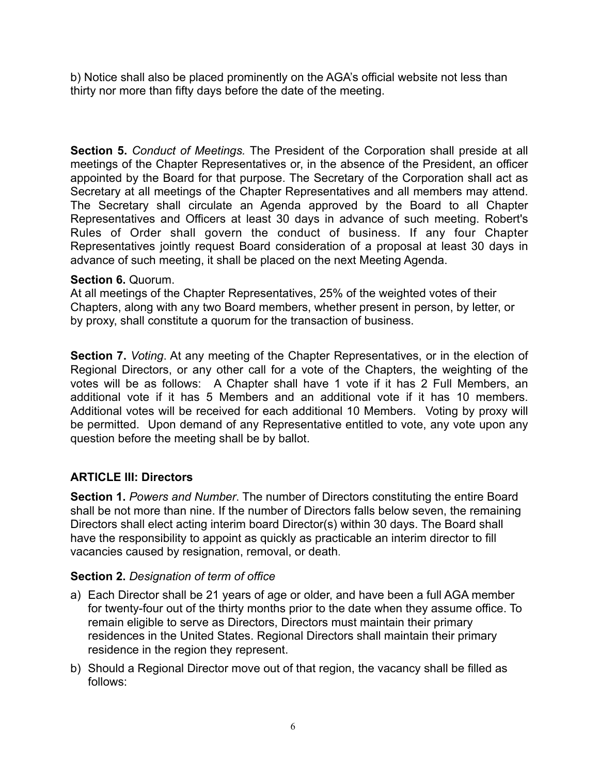b) Notice shall also be placed prominently on the AGA's official website not less than thirty nor more than fifty days before the date of the meeting.

**Section 5.** *Conduct of Meetings.* The President of the Corporation shall preside at all meetings of the Chapter Representatives or, in the absence of the President, an officer appointed by the Board for that purpose. The Secretary of the Corporation shall act as Secretary at all meetings of the Chapter Representatives and all members may attend. The Secretary shall circulate an Agenda approved by the Board to all Chapter Representatives and Officers at least 30 days in advance of such meeting. Robert's Rules of Order shall govern the conduct of business. If any four Chapter Representatives jointly request Board consideration of a proposal at least 30 days in advance of such meeting, it shall be placed on the next Meeting Agenda.

#### **Section 6.** Quorum.

At all meetings of the Chapter Representatives, 25% of the weighted votes of their Chapters, along with any two Board members, whether present in person, by letter, or by proxy, shall constitute a quorum for the transaction of business.

**Section 7.** *Voting*. At any meeting of the Chapter Representatives, or in the election of Regional Directors, or any other call for a vote of the Chapters, the weighting of the votes will be as follows: A Chapter shall have 1 vote if it has 2 Full Members, an additional vote if it has 5 Members and an additional vote if it has 10 members. Additional votes will be received for each additional 10 Members. Voting by proxy will be permitted. Upon demand of any Representative entitled to vote, any vote upon any question before the meeting shall be by ballot.

# **ARTICLE III: Directors**

**Section 1.** *Powers and Number*. The number of Directors constituting the entire Board shall be not more than nine. If the number of Directors falls below seven, the remaining Directors shall elect acting interim board Director(s) within 30 days. The Board shall have the responsibility to appoint as quickly as practicable an interim director to fill vacancies caused by resignation, removal, or death.

# **Section 2.** *Designation of term of office*

- a) Each Director shall be 21 years of age or older, and have been a full AGA member for twenty-four out of the thirty months prior to the date when they assume office. To remain eligible to serve as Directors, Directors must maintain their primary residences in the United States. Regional Directors shall maintain their primary residence in the region they represent.
- b) Should a Regional Director move out of that region, the vacancy shall be filled as follows: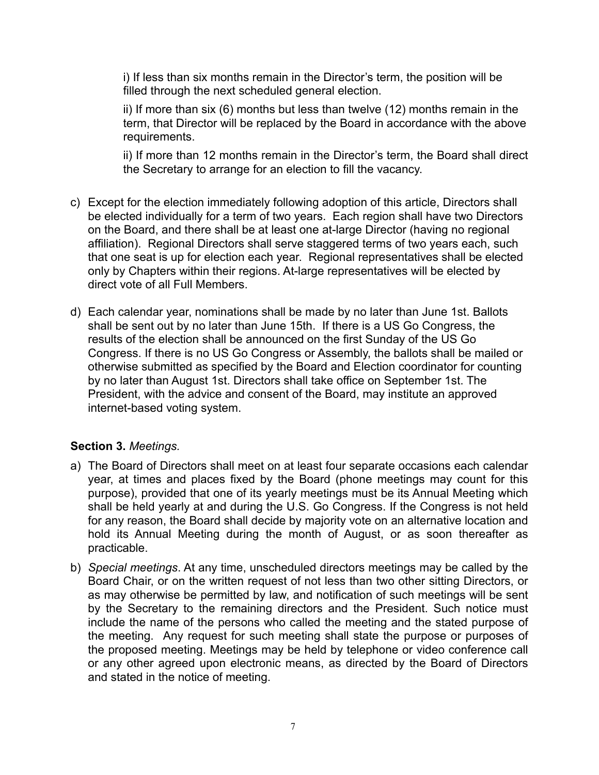i) If less than six months remain in the Director's term, the position will be filled through the next scheduled general election.

ii) If more than six (6) months but less than twelve (12) months remain in the term, that Director will be replaced by the Board in accordance with the above requirements.

ii) If more than 12 months remain in the Director's term, the Board shall direct the Secretary to arrange for an election to fill the vacancy.

- c) Except for the election immediately following adoption of this article, Directors shall be elected individually for a term of two years. Each region shall have two Directors on the Board, and there shall be at least one at-large Director (having no regional affiliation). Regional Directors shall serve staggered terms of two years each, such that one seat is up for election each year. Regional representatives shall be elected only by Chapters within their regions. At-large representatives will be elected by direct vote of all Full Members.
- d) Each calendar year, nominations shall be made by no later than June 1st. Ballots shall be sent out by no later than June 15th. If there is a US Go Congress, the results of the election shall be announced on the first Sunday of the US Go Congress. If there is no US Go Congress or Assembly, the ballots shall be mailed or otherwise submitted as specified by the Board and Election coordinator for counting by no later than August 1st. Directors shall take office on September 1st. The President, with the advice and consent of the Board, may institute an approved internet-based voting system.

#### **Section 3.** *Meetings.*

- a) The Board of Directors shall meet on at least four separate occasions each calendar year, at times and places fixed by the Board (phone meetings may count for this purpose), provided that one of its yearly meetings must be its Annual Meeting which shall be held yearly at and during the U.S. Go Congress. If the Congress is not held for any reason, the Board shall decide by majority vote on an alternative location and hold its Annual Meeting during the month of August, or as soon thereafter as practicable.
- b) *Special meetings*. At any time, unscheduled directors meetings may be called by the Board Chair, or on the written request of not less than two other sitting Directors, or as may otherwise be permitted by law, and notification of such meetings will be sent by the Secretary to the remaining directors and the President. Such notice must include the name of the persons who called the meeting and the stated purpose of the meeting. Any request for such meeting shall state the purpose or purposes of the proposed meeting. Meetings may be held by telephone or video conference call or any other agreed upon electronic means, as directed by the Board of Directors and stated in the notice of meeting.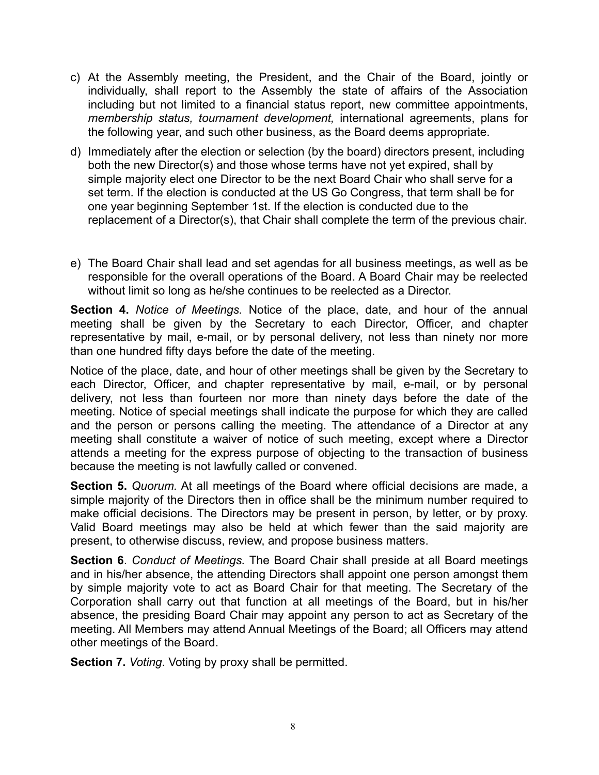- c) At the Assembly meeting, the President, and the Chair of the Board, jointly or individually, shall report to the Assembly the state of affairs of the Association including but not limited to a financial status report, new committee appointments, *membership status, tournament development,* international agreements, plans for the following year, and such other business, as the Board deems appropriate.
- d) Immediately after the election or selection (by the board) directors present, including both the new Director(s) and those whose terms have not yet expired, shall by simple majority elect one Director to be the next Board Chair who shall serve for a set term. If the election is conducted at the US Go Congress, that term shall be for one year beginning September 1st. If the election is conducted due to the replacement of a Director(s), that Chair shall complete the term of the previous chair.
- e) The Board Chair shall lead and set agendas for all business meetings, as well as be responsible for the overall operations of the Board. A Board Chair may be reelected without limit so long as he/she continues to be reelected as a Director.

**Section 4.** *Notice of Meetings.* Notice of the place, date, and hour of the annual meeting shall be given by the Secretary to each Director, Officer, and chapter representative by mail, e-mail, or by personal delivery, not less than ninety nor more than one hundred fifty days before the date of the meeting.

Notice of the place, date, and hour of other meetings shall be given by the Secretary to each Director, Officer, and chapter representative by mail, e-mail, or by personal delivery, not less than fourteen nor more than ninety days before the date of the meeting. Notice of special meetings shall indicate the purpose for which they are called and the person or persons calling the meeting. The attendance of a Director at any meeting shall constitute a waiver of notice of such meeting, except where a Director attends a meeting for the express purpose of objecting to the transaction of business because the meeting is not lawfully called or convened.

**Section 5.** *Quorum.* At all meetings of the Board where official decisions are made, a simple majority of the Directors then in office shall be the minimum number required to make official decisions. The Directors may be present in person, by letter, or by proxy. Valid Board meetings may also be held at which fewer than the said majority are present, to otherwise discuss, review, and propose business matters.

**Section 6**. *Conduct of Meetings.* The Board Chair shall preside at all Board meetings and in his/her absence, the attending Directors shall appoint one person amongst them by simple majority vote to act as Board Chair for that meeting. The Secretary of the Corporation shall carry out that function at all meetings of the Board, but in his/her absence, the presiding Board Chair may appoint any person to act as Secretary of the meeting. All Members may attend Annual Meetings of the Board; all Officers may attend other meetings of the Board.

**Section 7.** *Voting*. Voting by proxy shall be permitted.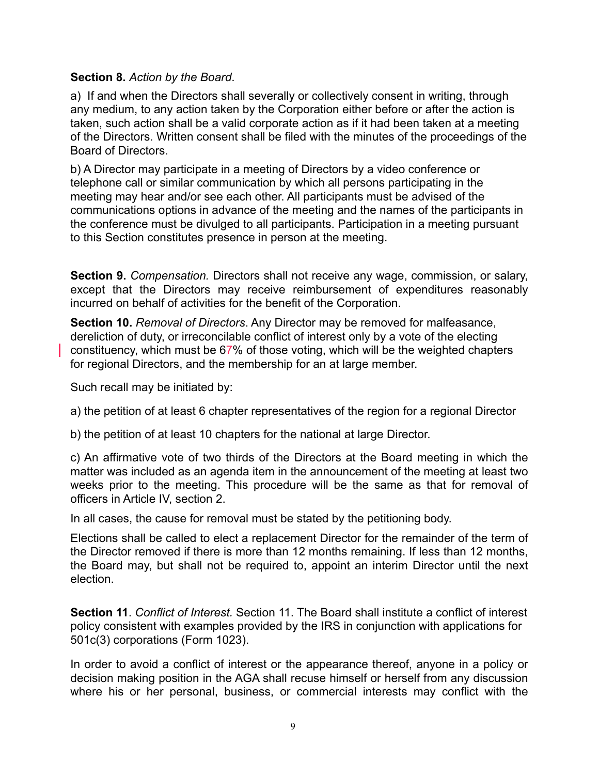#### **Section 8.** *Action by the Board*.

a) If and when the Directors shall severally or collectively consent in writing, through any medium, to any action taken by the Corporation either before or after the action is taken, such action shall be a valid corporate action as if it had been taken at a meeting of the Directors. Written consent shall be filed with the minutes of the proceedings of the Board of Directors.

b) A Director may participate in a meeting of Directors by a video conference or telephone call or similar communication by which all persons participating in the meeting may hear and/or see each other. All participants must be advised of the communications options in advance of the meeting and the names of the participants in the conference must be divulged to all participants. Participation in a meeting pursuant to this Section constitutes presence in person at the meeting.

**Section 9.** *Compensation.* Directors shall not receive any wage, commission, or salary, except that the Directors may receive reimbursement of expenditures reasonably incurred on behalf of activities for the benefit of the Corporation.

**Section 10.** *Removal of Directors*. Any Director may be removed for malfeasance, dereliction of duty, or irreconcilable conflict of interest only by a vote of the electing constituency, which must be 67% of those voting, which will be the weighted chapters for regional Directors, and the membership for an at large member.

Such recall may be initiated by:

a) the petition of at least 6 chapter representatives of the region for a regional Director

b) the petition of at least 10 chapters for the national at large Director.

c) An affirmative vote of two thirds of the Directors at the Board meeting in which the matter was included as an agenda item in the announcement of the meeting at least two weeks prior to the meeting. This procedure will be the same as that for removal of officers in Article IV, section 2.

In all cases, the cause for removal must be stated by the petitioning body.

Elections shall be called to elect a replacement Director for the remainder of the term of the Director removed if there is more than 12 months remaining. If less than 12 months, the Board may, but shall not be required to, appoint an interim Director until the next election.

**Section 11**. *Conflict of Interest.* Section 11. The Board shall institute a conflict of interest policy consistent with examples provided by the IRS in conjunction with applications for 501c(3) corporations (Form 1023).

In order to avoid a conflict of interest or the appearance thereof, anyone in a policy or decision making position in the AGA shall recuse himself or herself from any discussion where his or her personal, business, or commercial interests may conflict with the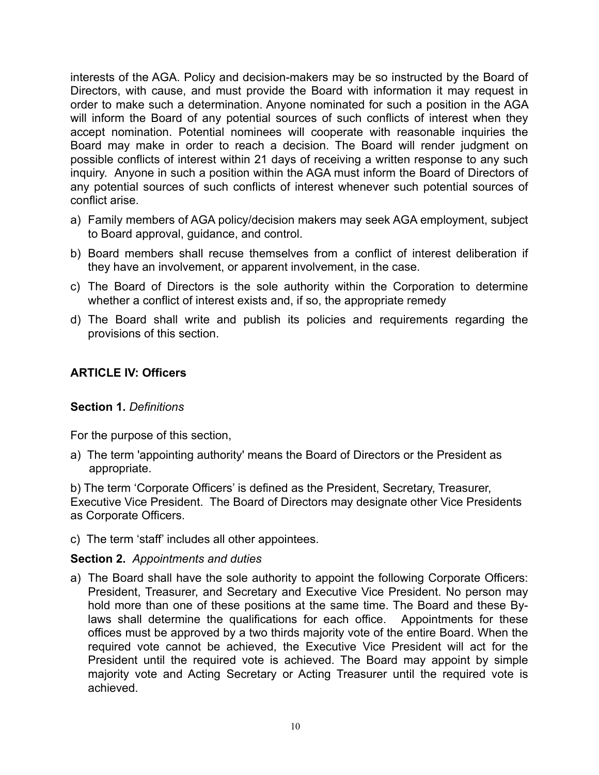interests of the AGA. Policy and decision-makers may be so instructed by the Board of Directors, with cause, and must provide the Board with information it may request in order to make such a determination. Anyone nominated for such a position in the AGA will inform the Board of any potential sources of such conflicts of interest when they accept nomination. Potential nominees will cooperate with reasonable inquiries the Board may make in order to reach a decision. The Board will render judgment on possible conflicts of interest within 21 days of receiving a written response to any such inquiry. Anyone in such a position within the AGA must inform the Board of Directors of any potential sources of such conflicts of interest whenever such potential sources of conflict arise.

- a) Family members of AGA policy/decision makers may seek AGA employment, subject to Board approval, guidance, and control.
- b) Board members shall recuse themselves from a conflict of interest deliberation if they have an involvement, or apparent involvement, in the case.
- c) The Board of Directors is the sole authority within the Corporation to determine whether a conflict of interest exists and, if so, the appropriate remedy
- d) The Board shall write and publish its policies and requirements regarding the provisions of this section.

# **ARTICLE IV: Officers**

#### **Section 1.** *Definitions*

For the purpose of this section,

a) The term 'appointing authority' means the Board of Directors or the President as appropriate.

b) The term 'Corporate Officers' is defined as the President, Secretary, Treasurer, Executive Vice President. The Board of Directors may designate other Vice Presidents as Corporate Officers.

c) The term 'staff' includes all other appointees.

#### **Section 2.** *Appointments and duties*

a) The Board shall have the sole authority to appoint the following Corporate Officers: President, Treasurer, and Secretary and Executive Vice President. No person may hold more than one of these positions at the same time. The Board and these Bylaws shall determine the qualifications for each office. Appointments for these offices must be approved by a two thirds majority vote of the entire Board. When the required vote cannot be achieved, the Executive Vice President will act for the President until the required vote is achieved. The Board may appoint by simple majority vote and Acting Secretary or Acting Treasurer until the required vote is achieved.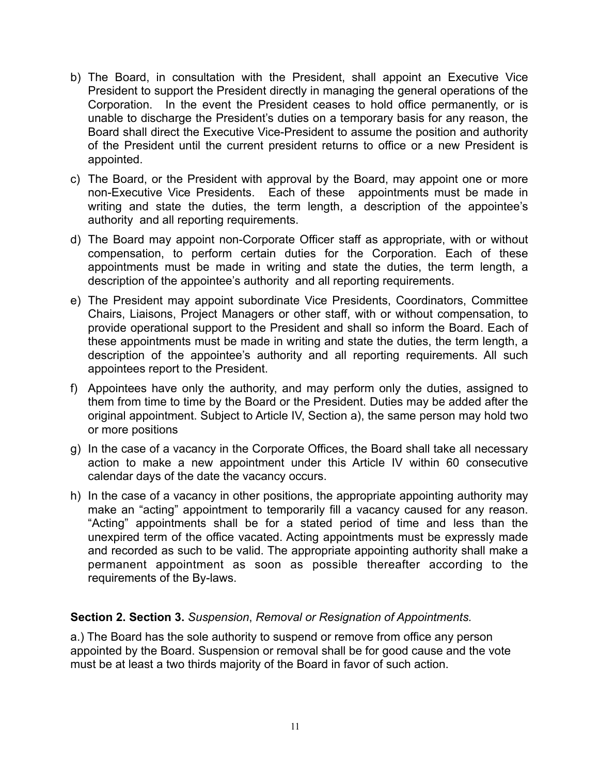- b) The Board, in consultation with the President, shall appoint an Executive Vice President to support the President directly in managing the general operations of the Corporation. In the event the President ceases to hold office permanently, or is unable to discharge the President's duties on a temporary basis for any reason, the Board shall direct the Executive Vice-President to assume the position and authority of the President until the current president returns to office or a new President is appointed.
- c) The Board, or the President with approval by the Board, may appoint one or more non-Executive Vice Presidents. Each of these appointments must be made in writing and state the duties, the term length, a description of the appointee's authority and all reporting requirements.
- d) The Board may appoint non-Corporate Officer staff as appropriate, with or without compensation, to perform certain duties for the Corporation. Each of these appointments must be made in writing and state the duties, the term length, a description of the appointee's authority and all reporting requirements.
- e) The President may appoint subordinate Vice Presidents, Coordinators, Committee Chairs, Liaisons, Project Managers or other staff, with or without compensation, to provide operational support to the President and shall so inform the Board. Each of these appointments must be made in writing and state the duties, the term length, a description of the appointee's authority and all reporting requirements. All such appointees report to the President.
- f) Appointees have only the authority, and may perform only the duties, assigned to them from time to time by the Board or the President. Duties may be added after the original appointment. Subject to Article IV, Section a), the same person may hold two or more positions
- g) In the case of a vacancy in the Corporate Offices, the Board shall take all necessary action to make a new appointment under this Article IV within 60 consecutive calendar days of the date the vacancy occurs.
- h) In the case of a vacancy in other positions, the appropriate appointing authority may make an "acting" appointment to temporarily fill a vacancy caused for any reason. "Acting" appointments shall be for a stated period of time and less than the unexpired term of the office vacated. Acting appointments must be expressly made and recorded as such to be valid. The appropriate appointing authority shall make a permanent appointment as soon as possible thereafter according to the requirements of the By-laws.

# **Section 2. Section 3.** *Suspension*, *Removal or Resignation of Appointments.*

a.) The Board has the sole authority to suspend or remove from office any person appointed by the Board. Suspension or removal shall be for good cause and the vote must be at least a two thirds majority of the Board in favor of such action.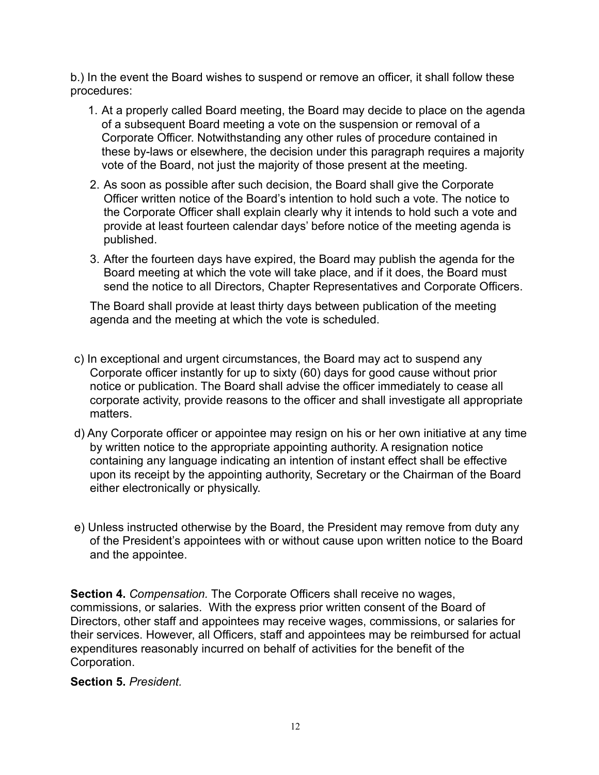b.) In the event the Board wishes to suspend or remove an officer, it shall follow these procedures:

- 1. At a properly called Board meeting, the Board may decide to place on the agenda of a subsequent Board meeting a vote on the suspension or removal of a Corporate Officer. Notwithstanding any other rules of procedure contained in these by-laws or elsewhere, the decision under this paragraph requires a majority vote of the Board, not just the majority of those present at the meeting.
- 2. As soon as possible after such decision, the Board shall give the Corporate Officer written notice of the Board's intention to hold such a vote. The notice to the Corporate Officer shall explain clearly why it intends to hold such a vote and provide at least fourteen calendar days' before notice of the meeting agenda is published.
- 3. After the fourteen days have expired, the Board may publish the agenda for the Board meeting at which the vote will take place, and if it does, the Board must send the notice to all Directors, Chapter Representatives and Corporate Officers.

The Board shall provide at least thirty days between publication of the meeting agenda and the meeting at which the vote is scheduled.

- c) In exceptional and urgent circumstances, the Board may act to suspend any Corporate officer instantly for up to sixty (60) days for good cause without prior notice or publication. The Board shall advise the officer immediately to cease all corporate activity, provide reasons to the officer and shall investigate all appropriate matters.
- d) Any Corporate officer or appointee may resign on his or her own initiative at any time by written notice to the appropriate appointing authority. A resignation notice containing any language indicating an intention of instant effect shall be effective upon its receipt by the appointing authority, Secretary or the Chairman of the Board either electronically or physically.
- e) Unless instructed otherwise by the Board, the President may remove from duty any of the President's appointees with or without cause upon written notice to the Board and the appointee.

**Section 4.** *Compensation.* The Corporate Officers shall receive no wages, commissions, or salaries. With the express prior written consent of the Board of Directors, other staff and appointees may receive wages, commissions, or salaries for their services. However, all Officers, staff and appointees may be reimbursed for actual expenditures reasonably incurred on behalf of activities for the benefit of the Corporation.

#### **Section 5.** *President.*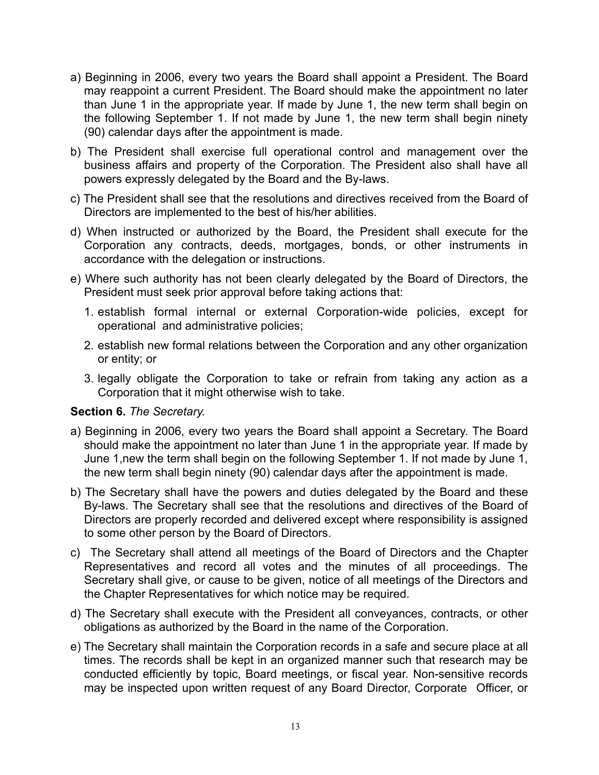- a) Beginning in 2006, every two years the Board shall appoint a President. The Board may reappoint a current President. The Board should make the appointment no later than June 1 in the appropriate year. If made by June 1, the new term shall begin on the following September 1. If not made by June 1, the new term shall begin ninety (90) calendar days after the appointment is made.
- b) The President shall exercise full operational control and management over the business affairs and property of the Corporation. The President also shall have all powers expressly delegated by the Board and the By-laws.
- c) The President shall see that the resolutions and directives received from the Board of Directors are implemented to the best of his/her abilities.
- d) When instructed or authorized by the Board, the President shall execute for the Corporation any contracts, deeds, mortgages, bonds, or other instruments in accordance with the delegation or instructions.
- e) Where such authority has not been clearly delegated by the Board of Directors, the President must seek prior approval before taking actions that:
	- 1. establish formal internal or external Corporation-wide policies, except for operational and administrative policies;
	- 2. establish new formal relations between the Corporation and any other organization or entity; or
	- 3. legally obligate the Corporation to take or refrain from taking any action as a Corporation that it might otherwise wish to take.

#### **Section 6.** *The Secretary.*

- a) Beginning in 2006, every two years the Board shall appoint a Secretary. The Board should make the appointment no later than June 1 in the appropriate year. If made by June 1,new the term shall begin on the following September 1. If not made by June 1, the new term shall begin ninety (90) calendar days after the appointment is made.
- b) The Secretary shall have the powers and duties delegated by the Board and these By-laws. The Secretary shall see that the resolutions and directives of the Board of Directors are properly recorded and delivered except where responsibility is assigned to some other person by the Board of Directors.
- c) The Secretary shall attend all meetings of the Board of Directors and the Chapter Representatives and record all votes and the minutes of all proceedings. The Secretary shall give, or cause to be given, notice of all meetings of the Directors and the Chapter Representatives for which notice may be required.
- d) The Secretary shall execute with the President all conveyances, contracts, or other obligations as authorized by the Board in the name of the Corporation.
- e) The Secretary shall maintain the Corporation records in a safe and secure place at all times. The records shall be kept in an organized manner such that research may be conducted efficiently by topic, Board meetings, or fiscal year. Non-sensitive records may be inspected upon written request of any Board Director, Corporate Officer, or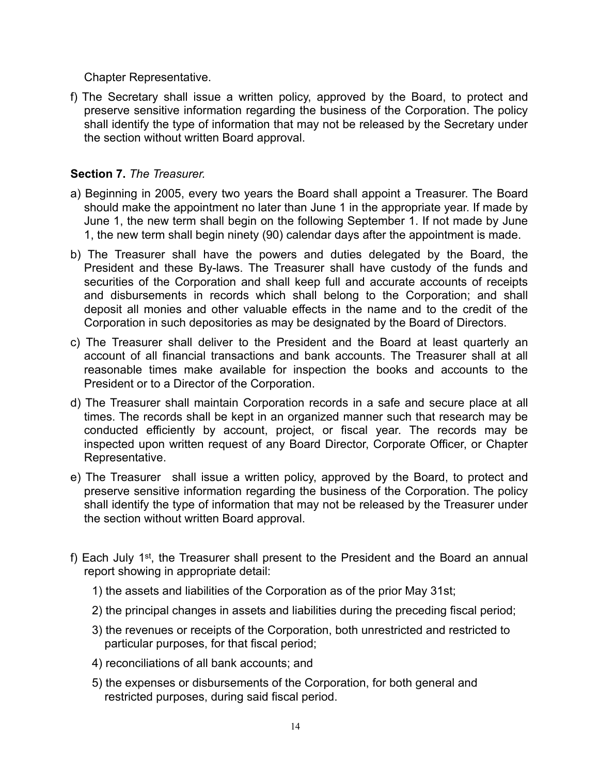Chapter Representative.

f) The Secretary shall issue a written policy, approved by the Board, to protect and preserve sensitive information regarding the business of the Corporation. The policy shall identify the type of information that may not be released by the Secretary under the section without written Board approval.

#### **Section 7.** *The Treasurer.*

- a) Beginning in 2005, every two years the Board shall appoint a Treasurer. The Board should make the appointment no later than June 1 in the appropriate year. If made by June 1, the new term shall begin on the following September 1. If not made by June 1, the new term shall begin ninety (90) calendar days after the appointment is made.
- b) The Treasurer shall have the powers and duties delegated by the Board, the President and these By-laws. The Treasurer shall have custody of the funds and securities of the Corporation and shall keep full and accurate accounts of receipts and disbursements in records which shall belong to the Corporation; and shall deposit all monies and other valuable effects in the name and to the credit of the Corporation in such depositories as may be designated by the Board of Directors.
- c) The Treasurer shall deliver to the President and the Board at least quarterly an account of all financial transactions and bank accounts. The Treasurer shall at all reasonable times make available for inspection the books and accounts to the President or to a Director of the Corporation.
- d) The Treasurer shall maintain Corporation records in a safe and secure place at all times. The records shall be kept in an organized manner such that research may be conducted efficiently by account, project, or fiscal year. The records may be inspected upon written request of any Board Director, Corporate Officer, or Chapter Representative.
- e) The Treasurer shall issue a written policy, approved by the Board, to protect and preserve sensitive information regarding the business of the Corporation. The policy shall identify the type of information that may not be released by the Treasurer under the section without written Board approval.
- f) Each July 1st, the Treasurer shall present to the President and the Board an annual report showing in appropriate detail:
	- 1) the assets and liabilities of the Corporation as of the prior May 31st;
	- 2) the principal changes in assets and liabilities during the preceding fiscal period;
	- 3) the revenues or receipts of the Corporation, both unrestricted and restricted to particular purposes, for that fiscal period;
	- 4) reconciliations of all bank accounts; and
	- 5) the expenses or disbursements of the Corporation, for both general and restricted purposes, during said fiscal period.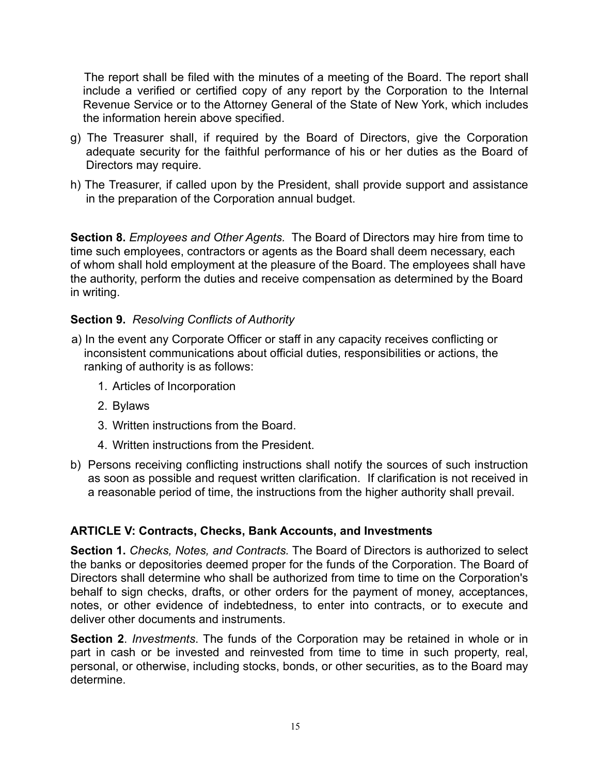The report shall be filed with the minutes of a meeting of the Board. The report shall include a verified or certified copy of any report by the Corporation to the Internal Revenue Service or to the Attorney General of the State of New York, which includes the information herein above specified.

- g) The Treasurer shall, if required by the Board of Directors, give the Corporation adequate security for the faithful performance of his or her duties as the Board of Directors may require.
- h) The Treasurer, if called upon by the President, shall provide support and assistance in the preparation of the Corporation annual budget.

**Section 8.** *Employees and Other Agents.* The Board of Directors may hire from time to time such employees, contractors or agents as the Board shall deem necessary, each of whom shall hold employment at the pleasure of the Board. The employees shall have the authority, perform the duties and receive compensation as determined by the Board in writing.

# **Section 9.** *Resolving Conflicts of Authority*

- a) In the event any Corporate Officer or staff in any capacity receives conflicting or inconsistent communications about official duties, responsibilities or actions, the ranking of authority is as follows:
	- 1. Articles of Incorporation
	- 2. Bylaws
	- 3. Written instructions from the Board.
	- 4. Written instructions from the President.
- b) Persons receiving conflicting instructions shall notify the sources of such instruction as soon as possible and request written clarification. If clarification is not received in a reasonable period of time, the instructions from the higher authority shall prevail.

# **ARTICLE V: Contracts, Checks, Bank Accounts, and Investments**

**Section 1.** *Checks, Notes, and Contracts.* The Board of Directors is authorized to select the banks or depositories deemed proper for the funds of the Corporation. The Board of Directors shall determine who shall be authorized from time to time on the Corporation's behalf to sign checks, drafts, or other orders for the payment of money, acceptances, notes, or other evidence of indebtedness, to enter into contracts, or to execute and deliver other documents and instruments.

**Section 2**. *Investments*. The funds of the Corporation may be retained in whole or in part in cash or be invested and reinvested from time to time in such property, real, personal, or otherwise, including stocks, bonds, or other securities, as to the Board may determine.